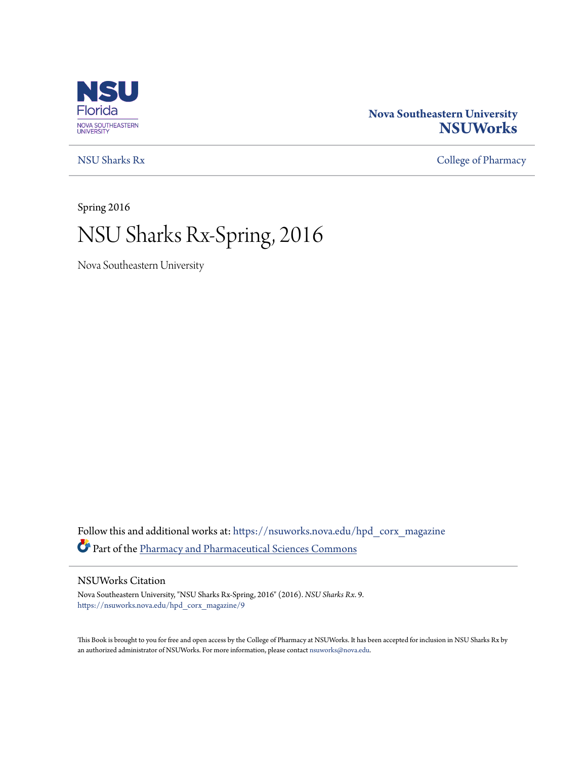

### **Nova Southeastern University [NSUWorks](https://nsuworks.nova.edu?utm_source=nsuworks.nova.edu%2Fhpd_corx_magazine%2F9&utm_medium=PDF&utm_campaign=PDFCoverPages)**

[NSU Sharks Rx](https://nsuworks.nova.edu/hpd_corx_magazine?utm_source=nsuworks.nova.edu%2Fhpd_corx_magazine%2F9&utm_medium=PDF&utm_campaign=PDFCoverPages) [College of Pharmacy](https://nsuworks.nova.edu/hpd_corx?utm_source=nsuworks.nova.edu%2Fhpd_corx_magazine%2F9&utm_medium=PDF&utm_campaign=PDFCoverPages)

Spring 2016

# NSU Sharks Rx-Spring, 2016

Nova Southeastern University

Follow this and additional works at: [https://nsuworks.nova.edu/hpd\\_corx\\_magazine](https://nsuworks.nova.edu/hpd_corx_magazine?utm_source=nsuworks.nova.edu%2Fhpd_corx_magazine%2F9&utm_medium=PDF&utm_campaign=PDFCoverPages) Part of the [Pharmacy and Pharmaceutical Sciences Commons](http://network.bepress.com/hgg/discipline/731?utm_source=nsuworks.nova.edu%2Fhpd_corx_magazine%2F9&utm_medium=PDF&utm_campaign=PDFCoverPages)

#### NSUWorks Citation

Nova Southeastern University, "NSU Sharks Rx-Spring, 2016" (2016). *NSU Sharks Rx*. 9. [https://nsuworks.nova.edu/hpd\\_corx\\_magazine/9](https://nsuworks.nova.edu/hpd_corx_magazine/9?utm_source=nsuworks.nova.edu%2Fhpd_corx_magazine%2F9&utm_medium=PDF&utm_campaign=PDFCoverPages)

This Book is brought to you for free and open access by the College of Pharmacy at NSUWorks. It has been accepted for inclusion in NSU Sharks Rx by an authorized administrator of NSUWorks. For more information, please contact [nsuworks@nova.edu.](mailto:nsuworks@nova.edu)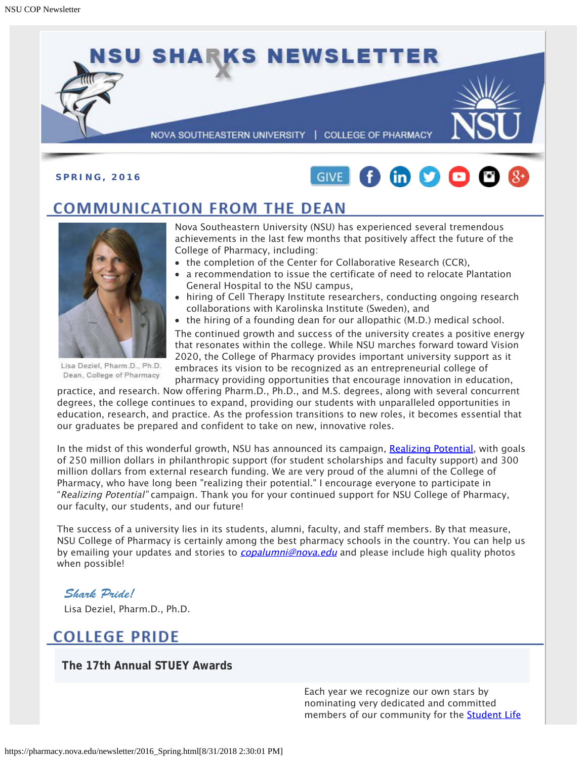



## **COMMUNICATION FROM THE DEAN**



Lisa Deziel, Pharm.D., Ph.D. Dean, College of Pharmacy

Nova Southeastern University (NSU) has experienced several tremendous achievements in the last few months that positively affect the future of the College of Pharmacy, including:

- the completion of the Center for Collaborative Research (CCR),
- a recommendation to issue the certificate of need to relocate Plantation General Hospital to the NSU campus,
- hiring of Cell Therapy Institute researchers, conducting ongoing research collaborations with Karolinska Institute (Sweden), and
- the hiring of a founding dean for our allopathic (M.D.) medical school.

The continued growth and success of the university creates a positive energy that resonates within the college. While NSU marches forward toward Vision 2020, the College of Pharmacy provides important university support as it embraces its vision to be recognized as an entrepreneurial college of pharmacy providing opportunities that encourage innovation in education,

practice, and research. Now offering Pharm.D., Ph.D., and M.S. degrees, along with several concurrent degrees, the college continues to expand, providing our students with unparalleled opportunities in education, research, and practice. As the profession transitions to new roles, it becomes essential that our graduates be prepared and confident to take on new, innovative roles.

In the midst of this wonderful growth, NSU has announced its campaign, [Realizing Potential](https://realizingpotential.nova.edu/index.html), with goals of 250 million dollars in philanthropic support (for student scholarships and faculty support) and 300 million dollars from external research funding. We are very proud of the alumni of the College of Pharmacy, who have long been "realizing their potential." I encourage everyone to participate in "Realizing Potential" campaign. Thank you for your continued support for NSU College of Pharmacy, our faculty, our students, and our future!

The success of a university lies in its students, alumni, faculty, and staff members. By that measure, NSU College of Pharmacy is certainly among the best pharmacy schools in the country. You can help us by emailing your updates and stories to *[copalumni@nova.edu](mailto:copalumni@nova.edu)* and please include high quality photos when possible!

#### *Shark Pride!*

Lisa Deziel, Pharm.D., Ph.D.

## **COLLEGE PRIDE**

**The 17th Annual STUEY Awards**

Each year we recognize our own stars by nominating very dedicated and committed members of our community for the **Student Life**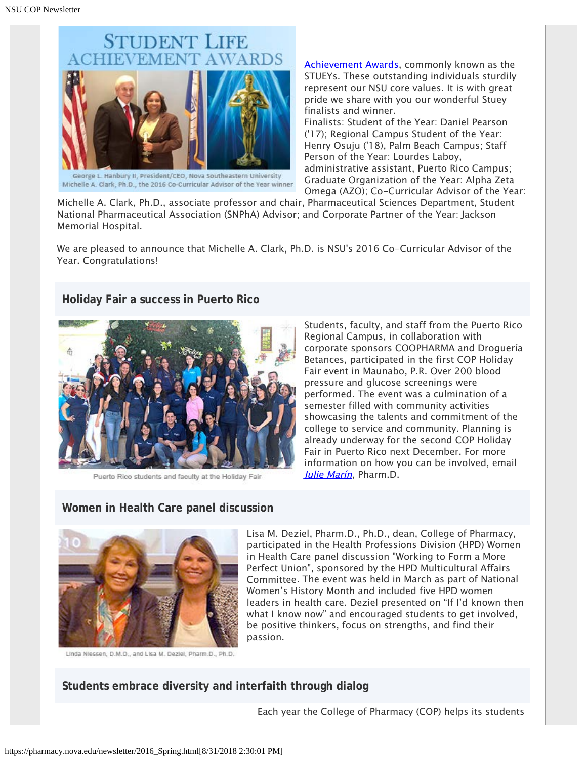

George L. Hanbury II, President/CEO, Nova Southeastern University Michelle A. Clark, Ph.D., the 2016 Co-Curricular Advisor of the Year winner

[Achievement Awards](https://nsunews.nova.edu/nsu-17th-annual-student-life-achievement-awards-congratulations-to-this-years-nominees/), commonly known as the STUEYs. These outstanding individuals sturdily represent our NSU core values. It is with great pride we share with you our wonderful Stuey finalists and winner.

Finalists: Student of the Year: Daniel Pearson ('17); Regional Campus Student of the Year: Henry Osuju ('18), Palm Beach Campus; Staff Person of the Year: Lourdes Laboy, administrative assistant, Puerto Rico Campus; Graduate Organization of the Year: Alpha Zeta Omega (AZO); Co-Curricular Advisor of the Year:

Michelle A. Clark, Ph.D., associate professor and chair, Pharmaceutical Sciences Department, Student National Pharmaceutical Association (SNPhA) Advisor; and Corporate Partner of the Year: Jackson Memorial Hospital.

We are pleased to announce that Michelle A. Clark, Ph.D. is NSU's 2016 Co-Curricular Advisor of the Year. Congratulations!

#### **Holiday Fair a success in Puerto Rico**



Puerto Rico students and faculty at the Holiday Fair

Students, faculty, and staff from the Puerto Rico Regional Campus, in collaboration with corporate sponsors COOPHARMA and Droguería Betances, participated in the first COP Holiday Fair event in Maunabo, P.R. Over 200 blood pressure and glucose screenings were performed. The event was a culmination of a semester filled with community activities showcasing the talents and commitment of the college to service and community. Planning is already underway for the second COP Holiday Fair in Puerto Rico next December. For more information on how you can be involved, email [Julie Marín](mailto:marin@nova.edu), Pharm.D.

### **Women in Health Care panel discussion**



Linda Niessen, D.M.D., and Lisa M. Deziel, Pharm.D., Ph.D.

Lisa M. Deziel, Pharm.D., Ph.D., dean, College of Pharmacy, participated in the Health Professions Division (HPD) Women in Health Care panel discussion "Working to Form a More Perfect Union", sponsored by the HPD Multicultural Affairs Committee. The event was held in March as part of National Women's History Month and included five HPD women leaders in health care. Deziel presented on "If I'd known then what I know now" and encouraged students to get involved, be positive thinkers, focus on strengths, and find their passion.

#### **Students embrace diversity and interfaith through dialog**

Each year the College of Pharmacy (COP) helps its students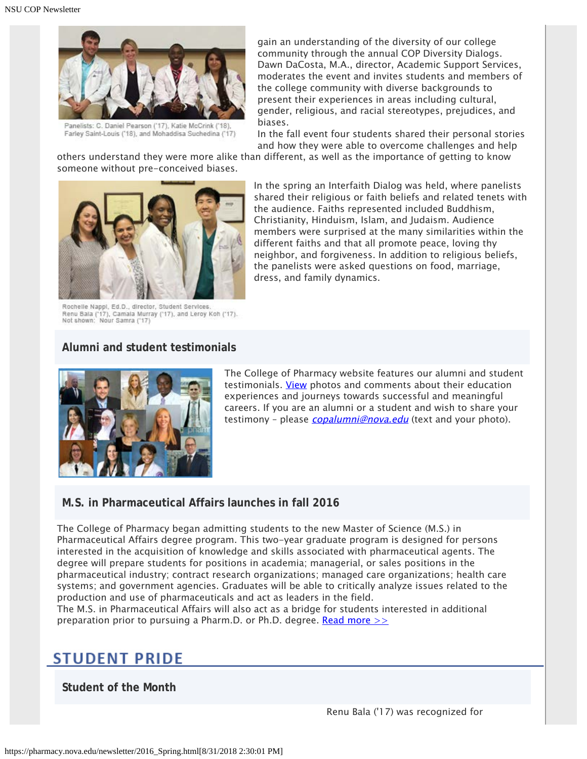

Panelists: C. Daniel Pearson ('17), Katie McCrink ('18) Farley Saint-Louis ('18), and Mohaddisa Suchedina ('17)

gain an understanding of the diversity of our college community through the annual COP Diversity Dialogs. Dawn DaCosta, M.A., director, Academic Support Services, moderates the event and invites students and members of the college community with diverse backgrounds to present their experiences in areas including cultural, gender, religious, and racial stereotypes, prejudices, and biases.

In the fall event four students shared their personal stories and how they were able to overcome challenges and help

others understand they were more alike than different, as well as the importance of getting to know someone without pre-conceived biases.



Rochelle Nappi, Ed.D., director, Student Services. Renu Bala ('17), Camala Murray ('17), and Leroy Koh ('17).<br>Not shown: Nour Samra ('17)

In the spring an Interfaith Dialog was held, where panelists shared their religious or faith beliefs and related tenets with the audience. Faiths represented included Buddhism, Christianity, Hinduism, Islam, and Judaism. Audience members were surprised at the many similarities within the different faiths and that all promote peace, loving thy neighbor, and forgiveness. In addition to religious beliefs, the panelists were asked questions on food, marriage, dress, and family dynamics.

#### **Alumni and student testimonials**



The College of Pharmacy website features our alumni and student testimonials. [View](http://pharmacy.nova.edu/testimonials/index.html) photos and comments about their education experiences and journeys towards successful and meaningful careers. If you are an alumni or a student and wish to share your testimony - please *[copalumni@nova.edu](mailto:copalumni@nova.edu)* (text and your photo).

#### **M.S. in Pharmaceutical Affairs launches in fall 2016**

The College of Pharmacy began admitting students to the new Master of Science (M.S.) in Pharmaceutical Affairs degree program. This two-year graduate program is designed for persons interested in the acquisition of knowledge and skills associated with pharmaceutical agents. The degree will prepare students for positions in academia; managerial, or sales positions in the pharmaceutical industry; contract research organizations; managed care organizations; health care systems; and government agencies. Graduates will be able to critically analyze issues related to the production and use of pharmaceuticals and act as leaders in the field.

The M.S. in Pharmaceutical Affairs will also act as a bridge for students interested in additional preparation prior to pursuing a Pharm.D. or Ph.D. degree. Read more  $\geq$ 

## **STUDENT PRIDE**

**Student of the Month**

Renu Bala ('17) was recognized for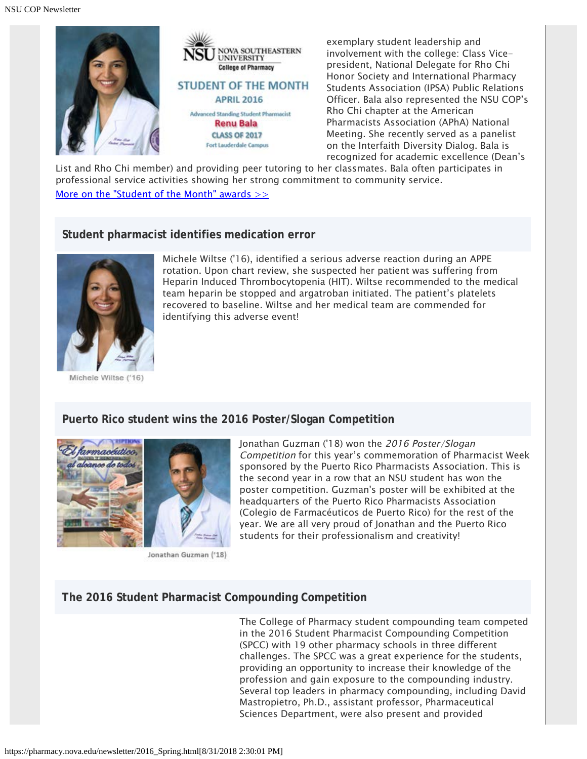

exemplary student leadership and involvement with the college: Class Vicepresident, National Delegate for Rho Chi Honor Society and International Pharmacy Students Association (IPSA) Public Relations Officer. Bala also represented the NSU COP's Rho Chi chapter at the American Pharmacists Association (APhA) National Meeting. She recently served as a panelist on the Interfaith Diversity Dialog. Bala is recognized for academic excellence (Dean's

List and Rho Chi member) and providing peer tutoring to her classmates. Bala often participates in professional service activities showing her strong commitment to community service. More on the "Student of the Month" awards  $\gg$ 

#### **Student pharmacist identifies medication error**



Michele Wiltse ('16)

Michele Wiltse ('16), identified a serious adverse reaction during an APPE rotation. Upon chart review, she suspected her patient was suffering from Heparin Induced Thrombocytopenia (HIT). Wiltse recommended to the medical team heparin be stopped and argatroban initiated. The patient's platelets recovered to baseline. Wiltse and her medical team are commended for identifying this adverse event!

#### **Puerto Rico student wins the 2016 Poster/Slogan Competition**





Jonathan Guzman ('18)

Jonathan Guzman ('18) won the 2016 Poster/Slogan Competition for this year's commemoration of Pharmacist Week sponsored by the Puerto Rico Pharmacists Association. This is the second year in a row that an NSU student has won the poster competition. Guzman's poster will be exhibited at the headquarters of the Puerto Rico Pharmacists Association (Colegio de Farmacéuticos de Puerto Rico) for the rest of the year. We are all very proud of Jonathan and the Puerto Rico students for their professionalism and creativity!

#### **The 2016 Student Pharmacist Compounding Competition**

The College of Pharmacy student compounding team competed in the 2016 Student Pharmacist Compounding Competition (SPCC) with 19 other pharmacy schools in three different challenges. The SPCC was a great experience for the students, providing an opportunity to increase their knowledge of the profession and gain exposure to the compounding industry. Several top leaders in pharmacy compounding, including David Mastropietro, Ph.D., assistant professor, Pharmaceutical Sciences Department, were also present and provided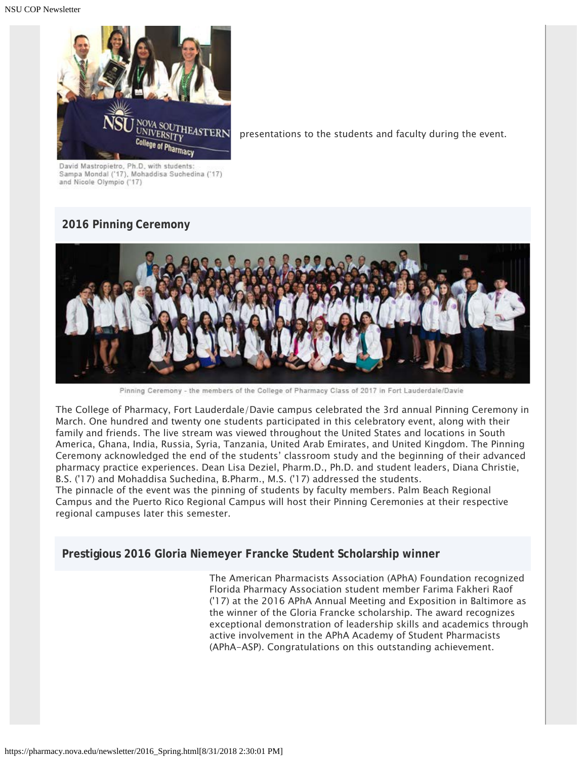NSU COP Newsletter



presentations to the students and faculty during the event.

David Mastropietro, Ph.D. with students: Sampa Mondal ('17), Mohaddisa Suchedina ('17) and Nicole Olympio ('17)

## **2016 Pinning Ceremony**



Pinning Ceremony - the members of the College of Pharmacy Class of 2017 in Fort Lauderdale/Davie

The College of Pharmacy, Fort Lauderdale/Davie campus celebrated the 3rd annual Pinning Ceremony in March. One hundred and twenty one students participated in this celebratory event, along with their family and friends. The live stream was viewed throughout the United States and locations in South America, Ghana, India, Russia, Syria, Tanzania, United Arab Emirates, and United Kingdom. The Pinning Ceremony acknowledged the end of the students' classroom study and the beginning of their advanced pharmacy practice experiences. Dean Lisa Deziel, Pharm.D., Ph.D. and student leaders, Diana Christie, B.S. ('17) and Mohaddisa Suchedina, B.Pharm., M.S. ('17) addressed the students.

The pinnacle of the event was the pinning of students by faculty members. Palm Beach Regional Campus and the Puerto Rico Regional Campus will host their Pinning Ceremonies at their respective regional campuses later this semester.

**Prestigious 2016 Gloria Niemeyer Francke Student Scholarship winner**

The American Pharmacists Association (APhA) Foundation recognized Florida Pharmacy Association student member Farima Fakheri Raof ('17) at the 2016 APhA Annual Meeting and Exposition in Baltimore as the winner of the Gloria Francke scholarship. The award recognizes exceptional demonstration of leadership skills and academics through active involvement in the APhA Academy of Student Pharmacists (APhA-ASP). Congratulations on this outstanding achievement.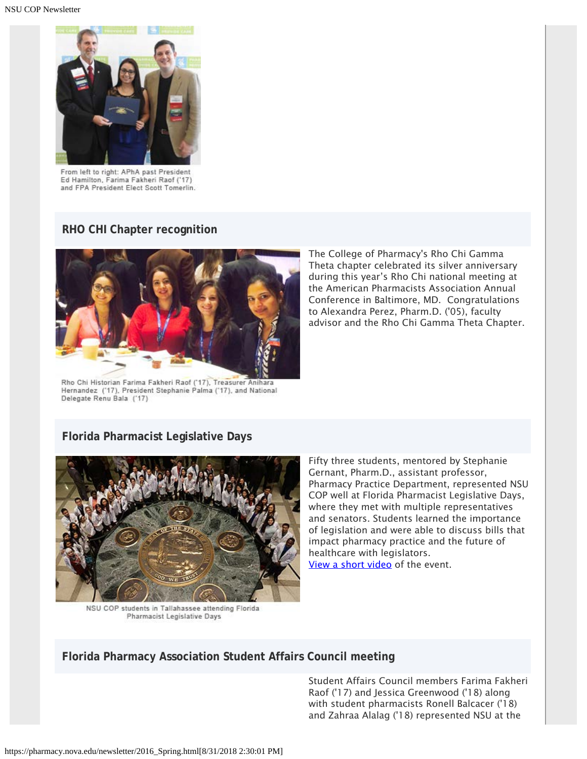

From left to right: APhA past President Ed Hamilton, Farima Fakheri Raof ('17) and FPA President Elect Scott Tomerlin.

#### **RHO CHI Chapter recognition**



Rho Chi Historian Farima Fakheri Raof ('17), Treasurer Anihara Hernandez ('17), President Stephanie Palma ('17), and National Delegate Renu Bala ('17)

The College of Pharmacy's Rho Chi Gamma Theta chapter celebrated its silver anniversary during this year's Rho Chi national meeting at the American Pharmacists Association Annual Conference in Baltimore, MD. Congratulations to Alexandra Perez, Pharm.D. ('05), faculty advisor and the Rho Chi Gamma Theta Chapter.

#### **Florida Pharmacist Legislative Days**



NSU COP students in Tallahassee attending Florida Pharmacist Legislative Days

Fifty three students, mentored by Stephanie Gernant, Pharm.D., assistant professor, Pharmacy Practice Department, represented NSU COP well at Florida Pharmacist Legislative Days, where they met with multiple representatives and senators. Students learned the importance of legislation and were able to discuss bills that impact pharmacy practice and the future of healthcare with legislators. [View a short video](https://animoto.com/play/ZXZSmqvVmMv4fZmD8IkkrQ) of the event.

#### **Florida Pharmacy Association Student Affairs Council meeting**

Student Affairs Council members Farima Fakheri Raof ('17) and Jessica Greenwood ('18) along with student pharmacists Ronell Balcacer ('18) and Zahraa Alalag ('18) represented NSU at the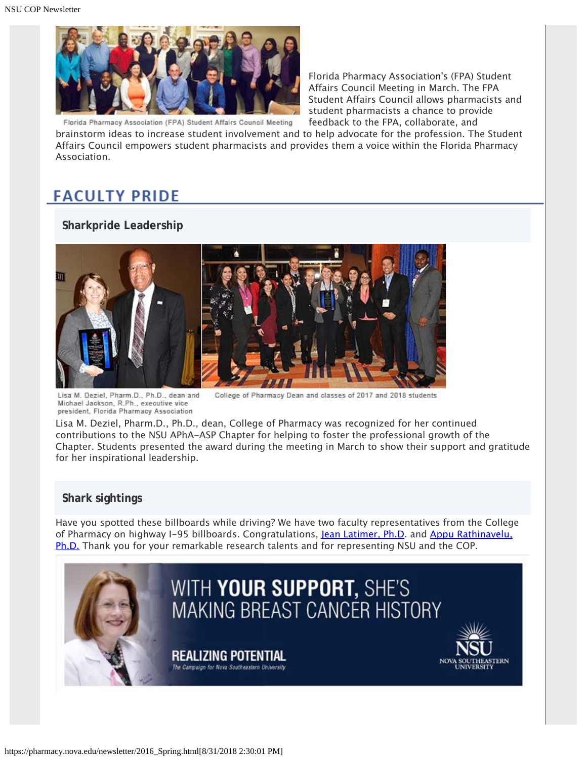

Florida Pharmacy Association's (FPA) Student Affairs Council Meeting in March. The FPA Student Affairs Council allows pharmacists and student pharmacists a chance to provide feedback to the FPA, collaborate, and

brainstorm ideas to increase student involvement and to help advocate for the profession. The Student Affairs Council empowers student pharmacists and provides them a voice within the Florida Pharmacy Association.

## **FACULTY PRIDE**

#### **Sharkpride Leadership**



Lisa M. Deziel, Pharm.D., Ph.D., dean and College of Pharmacy Dean and classes of 2017 and 2018 students Michael Jackson, R.Ph., executive vice president, Florida Pharmacy Association

Lisa M. Deziel, Pharm.D., Ph.D., dean, College of Pharmacy was recognized for her continued contributions to the NSU APhA-ASP Chapter for helping to foster the professional growth of the Chapter. Students presented the award during the meeting in March to show their support and gratitude for her inspirational leadership.

#### **Shark sightings**

Have you spotted these billboards while driving? We have two faculty representatives from the College of Pharmacy on highway I-95 billboards. Congratulations, [Jean Latimer, Ph.D](http://pharmacy.nova.edu/aboutus/Latimer.html). and [Appu Rathinavelu,](http://pharmacy.nova.edu/aboutus/Rathinavelu.html) [Ph.D.](http://pharmacy.nova.edu/aboutus/Rathinavelu.html) Thank you for your remarkable research talents and for representing NSU and the COP.

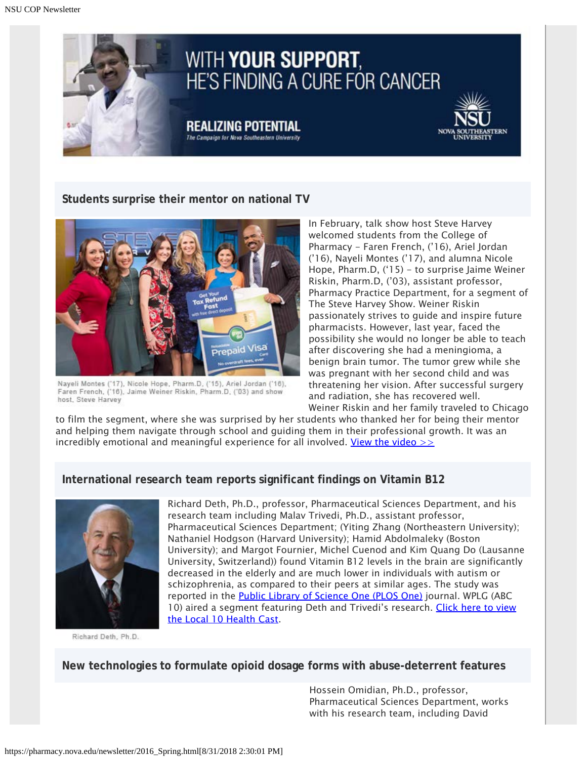

#### **Students surprise their mentor on national TV**



Nayeli Montes ('17), Nicole Hope, Pharm.D, ('15), Ariel Jordan ('16), Faren French, ('16), Jaime Weiner Riskin, Pharm.D, ('03) and show host, Steve Harvey

In February, talk show host Steve Harvey welcomed students from the College of Pharmacy - Faren French, ('16), Ariel Jordan ('16), Nayeli Montes ('17), and alumna Nicole Hope, Pharm.D, ('15) - to surprise Jaime Weiner Riskin, Pharm.D, ('03), assistant professor, Pharmacy Practice Department, for a segment of The Steve Harvey Show. Weiner Riskin passionately strives to guide and inspire future pharmacists. However, last year, faced the possibility she would no longer be able to teach after discovering she had a meningioma, a benign brain tumor. The tumor grew while she was pregnant with her second child and was threatening her vision. After successful surgery and radiation, she has recovered well. Weiner Riskin and her family traveled to Chicago

to film the segment, where she was surprised by her students who thanked her for being their mentor and helping them navigate through school and guiding them in their professional growth. It was an incredibly emotional and meaningful experience for all involved. View the video  $\gg$ 

#### **International research team reports significant findings on Vitamin B12**



Richard Deth, Ph.D.

Richard Deth, Ph.D., professor, Pharmaceutical Sciences Department, and his research team including Malav Trivedi, Ph.D., assistant professor, Pharmaceutical Sciences Department; (Yiting Zhang (Northeastern University); Nathaniel Hodgson (Harvard University); Hamid Abdolmaleky (Boston University); and Margot Fournier, Michel Cuenod and Kim Quang Do (Lausanne University, Switzerland)) found Vitamin B12 levels in the brain are significantly decreased in the elderly and are much lower in individuals with autism or schizophrenia, as compared to their peers at similar ages. The study was reported in the **[Public Library of Science One \(PLOS One\)](http://journals.plos.org/plosone/article?id=10.1371/journal.pone.0146797)** journal. WPLG (ABC 10) aired a segment featuring Deth and Trivedi's research. [Click here to view](http://www.local10.com/video/vitamin-b-helps-with-multiple-health-concerns-researchers-say) [the Local 10 Health Cast](http://www.local10.com/video/vitamin-b-helps-with-multiple-health-concerns-researchers-say).

**New technologies to formulate opioid dosage forms with abuse-deterrent features**

Hossein Omidian, Ph.D., professor, Pharmaceutical Sciences Department, works with his research team, including David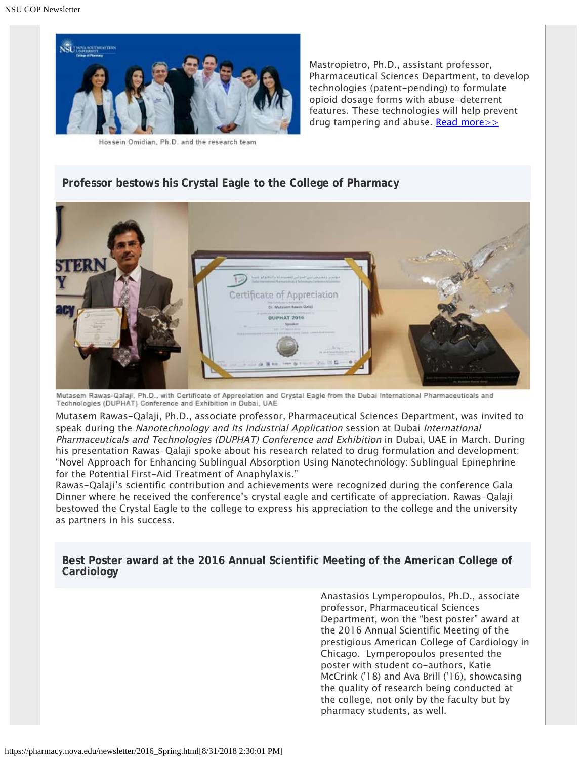

Hossein Omidian, Ph.D. and the research team

Mastropietro, Ph.D., assistant professor, Pharmaceutical Sciences Department, to develop technologies (patent-pending) to formulate opioid dosage forms with abuse-deterrent features. These technologies will help prevent drug tampering and abuse. Read more $\geq$ 

#### **Professor bestows his Crystal Eagle to the College of Pharmacy**



Mutasem Rawas-Qalaji, Ph.D., with Certificate of Appreciation and Crystal Eagle from the Dubai International Pharmaceuticals and Technologies (DUPHAT) Conference and Exhibition in Dubai, UAE

Mutasem Rawas-Qalaji, Ph.D., associate professor, Pharmaceutical Sciences Department, was invited to speak during the Nanotechnology and Its Industrial Application session at Dubai International Pharmaceuticals and Technologies (DUPHAT) Conference and Exhibition in Dubai, UAE in March. During his presentation Rawas-Qalaji spoke about his research related to drug formulation and development: "Novel Approach for Enhancing Sublingual Absorption Using Nanotechnology: Sublingual Epinephrine for the Potential First-Aid Treatment of Anaphylaxis."

Rawas-Qalaji's scientific contribution and achievements were recognized during the conference Gala Dinner where he received the conference's crystal eagle and certificate of appreciation. Rawas-Qalaji bestowed the Crystal Eagle to the college to express his appreciation to the college and the university as partners in his success.

**Best Poster award at the 2016 Annual Scientific Meeting of the American College of Cardiology**

> Anastasios Lymperopoulos, Ph.D., associate professor, Pharmaceutical Sciences Department, won the "best poster" award at the 2016 Annual Scientific Meeting of the prestigious American College of Cardiology in Chicago. Lymperopoulos presented the poster with student co-authors, Katie McCrink ('18) and Ava Brill ('16), showcasing the quality of research being conducted at the college, not only by the faculty but by pharmacy students, as well.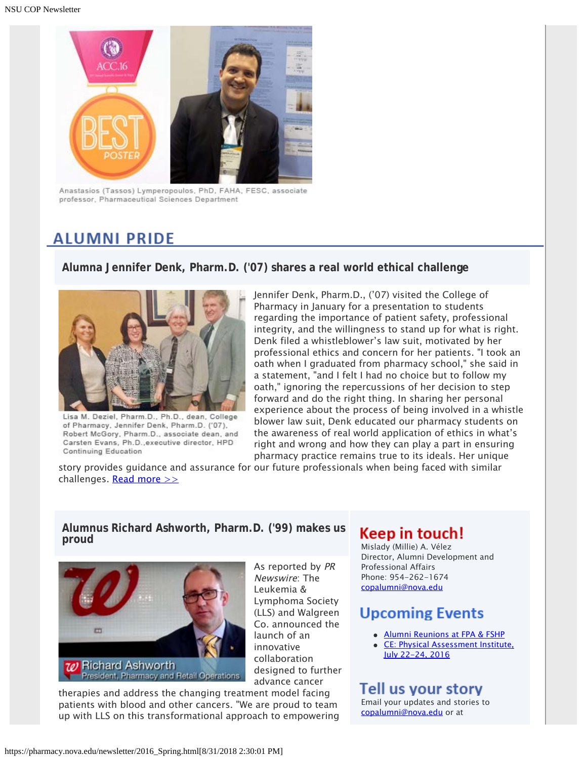

Anastasios (Tassos) Lymperopoulos, PhD, FAHA, FESC, associate professor, Pharmaceutical Sciences Department

## **ALUMNI PRIDE**

#### **Alumna Jennifer Denk, Pharm.D. ('07) shares a real world ethical challenge**



Lisa M. Deziel, Pharm.D., Ph.D., dean, College of Pharmacy, Jennifer Denk, Pharm.D. ('07), Robert McGory, Pharm.D., associate dean, and Carsten Evans, Ph.D., executive director, HPD Continuing Education

Jennifer Denk, Pharm.D., ('07) visited the College of Pharmacy in January for a presentation to students regarding the importance of patient safety, professional integrity, and the willingness to stand up for what is right. Denk filed a whistleblower's law suit, motivated by her professional ethics and concern for her patients. "I took an oath when I graduated from pharmacy school," she said in a statement, "and I felt I had no choice but to follow my oath," ignoring the repercussions of her decision to step forward and do the right thing. In sharing her personal experience about the process of being involved in a whistle blower law suit, Denk educated our pharmacy students on the awareness of real world application of ethics in what's right and wrong and how they can play a part in ensuring pharmacy practice remains true to its ideals. Her unique

story provides guidance and assurance for our future professionals when being faced with similar challenges. Read more  $\gg$ 

#### **Alumnus Richard Ashworth, Pharm.D. ('99) makes us** Alumnus Richard Ashworth, Pharm.D. (199) makes us<br>proud<br>Mislady (Millie) A. Vélez



As reported by PR Newswire: The Leukemia & Lymphoma Society (LLS) and Walgreen Co. announced the launch of an innovative collaboration designed to further advance cancer

therapies and address the changing treatment model facing patients with blood and other cancers. "We are proud to team up with LLS on this transformational approach to empowering

Director, Alumni Development and Professional Affairs Phone: 954-262-1674 [copalumni@nova.edu](mailto:copalumni@nova.edu)

## **Upcoming Events**

- [Alumni Reunions at FPA & FSHP](http://pharmacy.nova.edu/documents/alumniCalendar.pdf)
- [CE: Physical Assessment Institute,](http://pharmacy.nova.edu/ce/schedule.html) [July 22-24, 2016](http://pharmacy.nova.edu/ce/schedule.html)

## Tell us your story

Email your updates and stories to [copalumni@nova.edu](mailto:copalumni@nova.edu) or at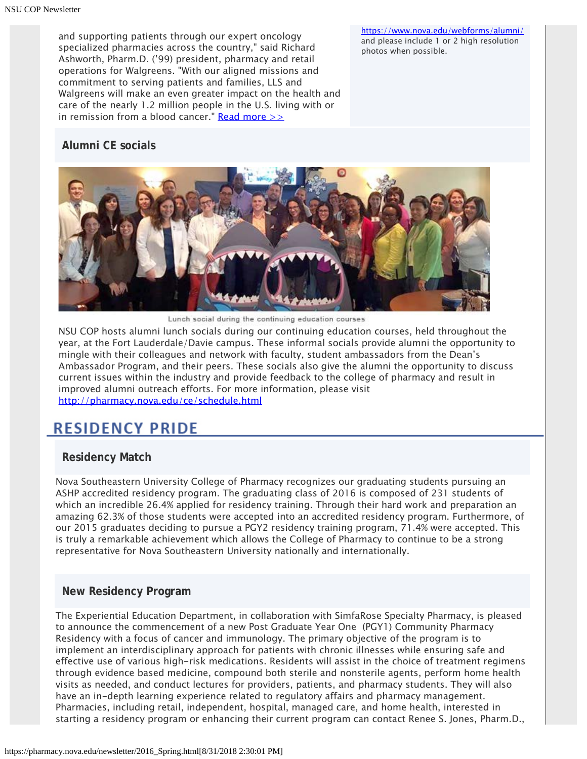and supporting patients through our expert oncology specialized pharmacies across the country," said Richard Ashworth, Pharm.D. ('99) president, pharmacy and retail operations for Walgreens. "With our aligned missions and commitment to serving patients and families, LLS and Walgreens will make an even greater impact on the health and care of the nearly 1.2 million people in the U.S. living with or in remission from a blood cancer." Read more  $\gg$ 

<https://www.nova.edu/webforms/alumni/> and please include 1 or 2 high resolution photos when possible.

#### **Alumni CE socials**



Lunch social during the continuing education courses

NSU COP hosts alumni lunch socials during our continuing education courses, held throughout the year, at the Fort Lauderdale/Davie campus. These informal socials provide alumni the opportunity to mingle with their colleagues and network with faculty, student ambassadors from the Dean's Ambassador Program, and their peers. These socials also give the alumni the opportunity to discuss current issues within the industry and provide feedback to the college of pharmacy and result in improved alumni outreach efforts. For more information, please visit <http://pharmacy.nova.edu/ce/schedule.html>

## **RESIDENCY PRIDE**

#### **Residency Match**

Nova Southeastern University College of Pharmacy recognizes our graduating students pursuing an ASHP accredited residency program. The graduating class of 2016 is composed of 231 students of which an incredible 26.4% applied for residency training. Through their hard work and preparation an amazing 62.3% of those students were accepted into an accredited residency program. Furthermore, of our 2015 graduates deciding to pursue a PGY2 residency training program, 71.4% were accepted. This is truly a remarkable achievement which allows the College of Pharmacy to continue to be a strong representative for Nova Southeastern University nationally and internationally.

#### **New Residency Program**

The Experiential Education Department, in collaboration with SimfaRose Specialty Pharmacy, is pleased to announce the commencement of a new Post Graduate Year One (PGY1) Community Pharmacy Residency with a focus of cancer and immunology. The primary objective of the program is to implement an interdisciplinary approach for patients with chronic illnesses while ensuring safe and effective use of various high-risk medications. Residents will assist in the choice of treatment regimens through evidence based medicine, compound both sterile and nonsterile agents, perform home health visits as needed, and conduct lectures for providers, patients, and pharmacy students. They will also have an in-depth learning experience related to regulatory affairs and pharmacy management. Pharmacies, including retail, independent, hospital, managed care, and home health, interested in starting a residency program or enhancing their current program can contact Renee S. Jones, Pharm.D.,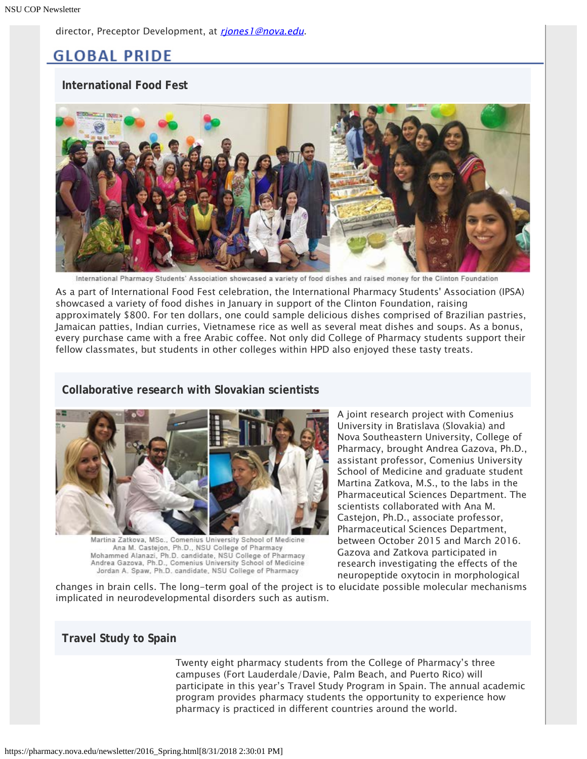director, Preceptor Development, at riones1@nova.edu.

## **GLOBAL PRIDE**

#### **International Food Fest**



International Pharmacy Students' Association showcased a variety of food dishes and raised money for the Clinton Foundation

As a part of International Food Fest celebration, the International Pharmacy Students' Association (IPSA) showcased a variety of food dishes in January in support of the Clinton Foundation, raising approximately \$800. For ten dollars, one could sample delicious dishes comprised of Brazilian pastries, Jamaican patties, Indian curries, Vietnamese rice as well as several meat dishes and soups. As a bonus, every purchase came with a free Arabic coffee. Not only did College of Pharmacy students support their fellow classmates, but students in other colleges within HPD also enjoyed these tasty treats.

#### **Collaborative research with Slovakian scientists**



Martina Zatkova, MSc., Comenius University School of Medicine Ana M. Castejon, Ph.D., NSU College of Pharmacy Mohammed Alanazi, Ph.D. candidate, NSU College of Pharmacy Andrea Gazova, Ph.D., Comenius University School of Medicine Jordan A. Spaw, Ph.D. candidate, NSU College of Pharmacy

A joint research project with Comenius University in Bratislava (Slovakia) and Nova Southeastern University, College of Pharmacy, brought Andrea Gazova, Ph.D., assistant professor, Comenius University School of Medicine and graduate student Martina Zatkova, M.S., to the labs in the Pharmaceutical Sciences Department. The scientists collaborated with Ana M. Castejon, Ph.D., associate professor, Pharmaceutical Sciences Department, between October 2015 and March 2016. Gazova and Zatkova participated in research investigating the effects of the neuropeptide oxytocin in morphological

changes in brain cells. The long-term goal of the project is to elucidate possible molecular mechanisms implicated in neurodevelopmental disorders such as autism.

#### **Travel Study to Spain**

Twenty eight pharmacy students from the College of Pharmacy's three campuses (Fort Lauderdale/Davie, Palm Beach, and Puerto Rico) will participate in this year's Travel Study Program in Spain. The annual academic program provides pharmacy students the opportunity to experience how pharmacy is practiced in different countries around the world.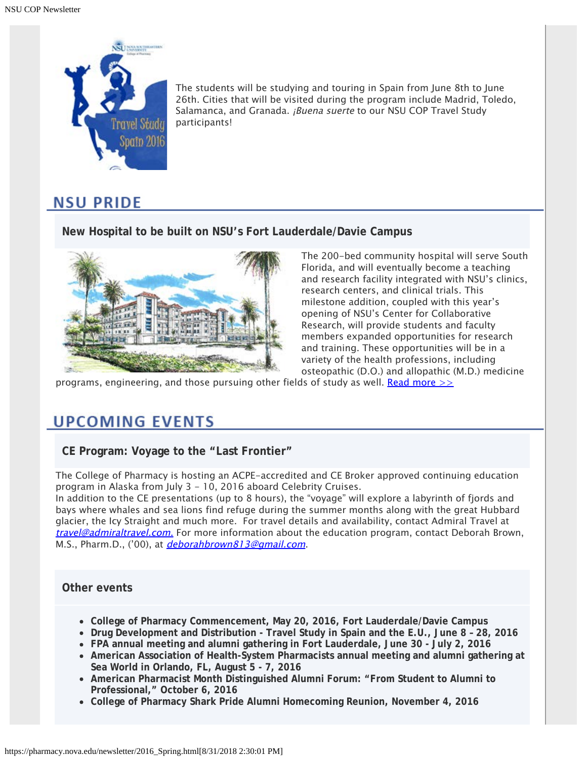

The students will be studying and touring in Spain from June 8th to June 26th. Cities that will be visited during the program include Madrid, Toledo, Salamanca, and Granada. *¡Buena suerte* to our NSU COP Travel Study participants!

## **NSU PRIDE**

#### **New Hospital to be built on NSU's Fort Lauderdale/Davie Campus**



The 200-bed community hospital will serve South Florida, and will eventually become a teaching and research facility integrated with NSU's clinics, research centers, and clinical trials. This milestone addition, coupled with this year's opening of NSU's Center for Collaborative Research, will provide students and faculty members expanded opportunities for research and training. These opportunities will be in a variety of the health professions, including osteopathic (D.O.) and allopathic (M.D.) medicine

programs, engineering, and those pursuing other fields of study as well. Read more  $\geq$ 

## **UPCOMING EVENTS**

**CE Program: Voyage to the "Last Frontier"**

The College of Pharmacy is hosting an ACPE-accredited and CE Broker approved continuing education program in Alaska from July 3 - 10, 2016 aboard Celebrity Cruises.

In addition to the CE presentations (up to 8 hours), the "voyage" will explore a labyrinth of fjords and bays where whales and sea lions find refuge during the summer months along with the great Hubbard glacier, the Icy Straight and much more. For travel details and availability, contact Admiral Travel at [travel@admiraltravel.com](mailto:travel@admiraltravel.com)[.](mailto:travel@admiraltravel.com) For more information about the education program, contact Deborah Brown, M.S., Pharm.D., ('00), at *[deborahbrown813@gmail.com](mailto:deborahbrown813@gmail.com)*.

#### **Other events**

- **College of Pharmacy Commencement, May 20, 2016, Fort Lauderdale/Davie Campus**
- **Drug Development and Distribution Travel Study in Spain and the E.U., June 8 28, 2016**
- **FPA annual meeting and alumni gathering in Fort Lauderdale, June 30 July 2, 2016**
- **American Association of Health-System Pharmacists annual meeting and alumni gathering at Sea World in Orlando, FL, August 5 - 7, 2016**
- **American Pharmacist Month Distinguished Alumni Forum: "From Student to Alumni to Professional," October 6, 2016**
- **College of Pharmacy Shark Pride Alumni Homecoming Reunion, November 4, 2016**